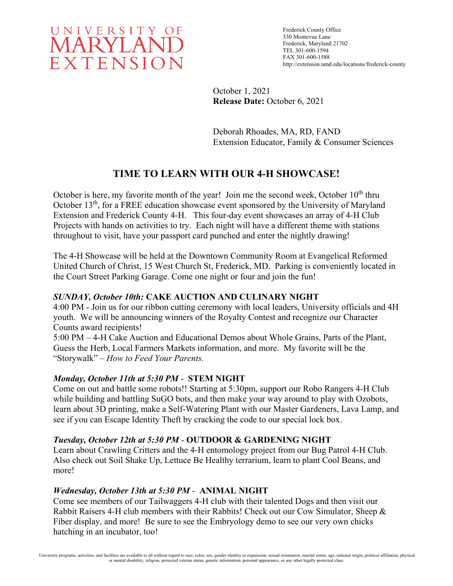

Frederick County Office 330 Montevue Lane Frederick, Maryland 21702 TEL 301-600-1594 FAX 301-600-1588 http://extension.umd.edu/locations/frederick-county

October 1, 2021 **Release Date:** October 6, 2021

Deborah Rhoades, MA, RD, FAND Extension Educator, Family & Consumer Sciences

# **TIME TO LEARN WITH OUR 4-H SHOWCASE!**

October is here, my favorite month of the year! Join me the second week, October  $10<sup>th</sup>$  thru October 13<sup>th</sup>, for a FREE education showcase event sponsored by the University of Maryland Extension and Frederick County 4-H. This four-day event showcases an array of 4-H Club Projects with hands on activities to try. Each night will have a different theme with stations throughout to visit, have your passport card punched and enter the nightly drawing!

The 4-H Showcase will be held at the Downtown Community Room at Evangelical Reformed United Church of Christ, 15 West Church St, Frederick, MD. Parking is conveniently located in the Court Street Parking Garage. Come one night or four and join the fun!

# *SUNDAY, October 10th:* **CAKE AUCTION AND CULINARY NIGHT**

4:00 PM - Join us for our ribbon cutting ceremony with local leaders, University officials and 4H youth. We will be announcing winners of the Royalty Contest and recognize our Character Counts award recipients!

5:00 PM – 4-H Cake Auction and Educational Demos about Whole Grains, Parts of the Plant, Guess the Herb, Local Farmers Markets information, and more. My favorite will be the "Storywalk" – *How to Feed Your Parents.*

# *Monday, October 11th at 5:30 PM* - **STEM NIGHT**

Come on out and battle some robots!! Starting at 5:30pm, support our Robo Rangers 4-H Club while building and battling SuGO bots, and then make your way around to play with Ozobots, learn about 3D printing, make a Self-Watering Plant with our Master Gardeners, Lava Lamp, and see if you can Escape Identity Theft by cracking the code to our special lock box.

# *Tuesday, October 12th at 5:30 PM* - **OUTDOOR & GARDENING NIGHT**

Learn about Crawling Critters and the 4-H entomology project from our Bug Patrol 4-H Club. Also check out Soil Shake Up, Lettuce Be Healthy terrarium, learn to plant Cool Beans, and more!

#### *Wednesday, October 13th at 5:30 PM* - **ANIMAL NIGHT**

Come see members of our Tailwaggers 4-H club with their talented Dogs and then visit our Rabbit Raisers 4-H club members with their Rabbits! Check out our Cow Simulator, Sheep & Fiber display, and more! Be sure to see the Embryology demo to see our very own chicks hatching in an incubator, too!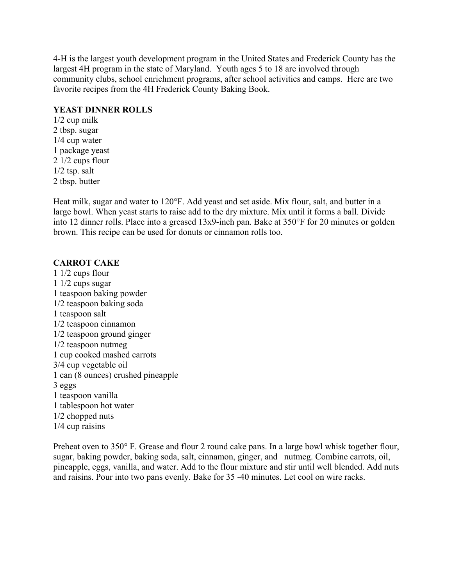4-H is the largest youth development program in the United States and Frederick County has the largest 4H program in the state of Maryland. Youth ages 5 to 18 are involved through community clubs, school enrichment programs, after school activities and camps. Here are two favorite recipes from the 4H Frederick County Baking Book.

#### **YEAST DINNER ROLLS**

1/2 cup milk 2 tbsp. sugar 1/4 cup water 1 package yeast 2 1/2 cups flour 1/2 tsp. salt 2 tbsp. butter

Heat milk, sugar and water to 120°F. Add yeast and set aside. Mix flour, salt, and butter in a large bowl. When yeast starts to raise add to the dry mixture. Mix until it forms a ball. Divide into 12 dinner rolls. Place into a greased 13x9-inch pan. Bake at 350°F for 20 minutes or golden brown. This recipe can be used for donuts or cinnamon rolls too.

#### **CARROT CAKE**

1 1/2 cups flour 1 1/2 cups sugar 1 teaspoon baking powder 1/2 teaspoon baking soda 1 teaspoon salt 1/2 teaspoon cinnamon 1/2 teaspoon ground ginger 1/2 teaspoon nutmeg 1 cup cooked mashed carrots 3/4 cup vegetable oil 1 can (8 ounces) crushed pineapple 3 eggs 1 teaspoon vanilla 1 tablespoon hot water 1/2 chopped nuts 1/4 cup raisins

Preheat oven to 350° F. Grease and flour 2 round cake pans. In a large bowl whisk together flour, sugar, baking powder, baking soda, salt, cinnamon, ginger, and nutmeg. Combine carrots, oil, pineapple, eggs, vanilla, and water. Add to the flour mixture and stir until well blended. Add nuts and raisins. Pour into two pans evenly. Bake for 35 -40 minutes. Let cool on wire racks.